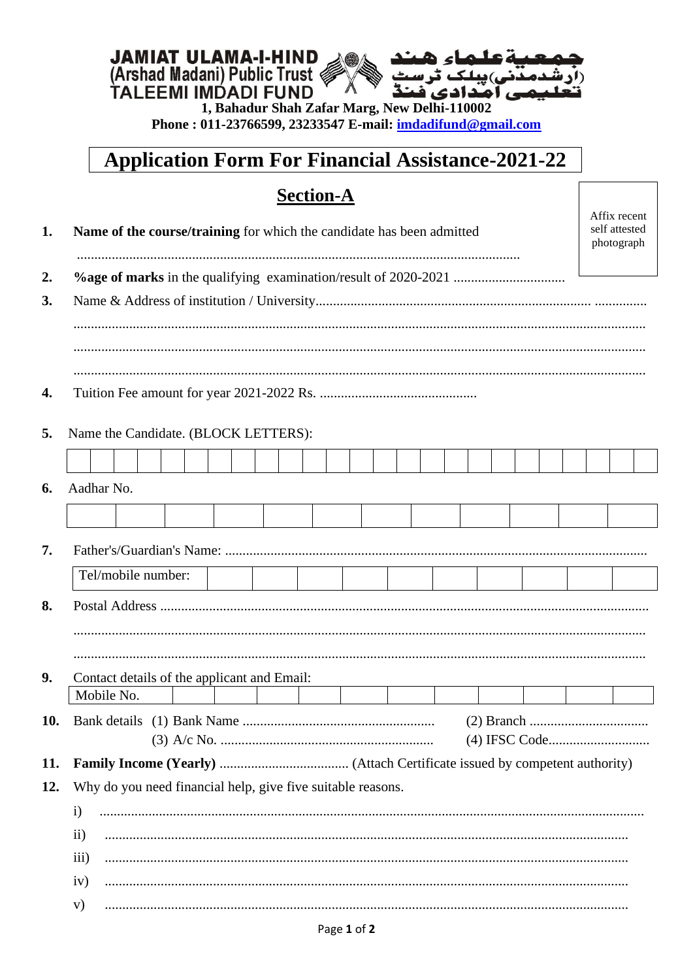# **JAMIAT ULAMA-I-HIND**<br>(Arshad Madani) Public Trust<br>TALEEMI IMDADI FUND 人爱

1, Bahadur Shah Zafar Marg, New Delhi-110002 Phone: 011-23766599, 23233547 E-mail: indadifund@gmail.com

# **Application Form For Financial Assistance-2021-22**

Affix recent

## **Section-A**

| 1. | Name of the course/training for which the candidate has been admitted<br>self attested<br>photograph |  |
|----|------------------------------------------------------------------------------------------------------|--|
| 2. |                                                                                                      |  |
| 3. |                                                                                                      |  |
|    |                                                                                                      |  |
|    |                                                                                                      |  |
|    |                                                                                                      |  |
|    |                                                                                                      |  |
|    |                                                                                                      |  |
|    | Name the Candidate. (BLOCK LETTERS):                                                                 |  |
|    |                                                                                                      |  |
|    | Aadhar No.                                                                                           |  |
|    |                                                                                                      |  |
|    |                                                                                                      |  |
|    | Tel/mobile number:                                                                                   |  |
|    |                                                                                                      |  |
|    |                                                                                                      |  |
|    |                                                                                                      |  |
|    |                                                                                                      |  |
|    | Contact details of the applicant and Email:<br>Mobile No.                                            |  |
|    |                                                                                                      |  |
|    |                                                                                                      |  |
|    |                                                                                                      |  |
|    | Why do you need financial help, give five suitable reasons.                                          |  |
|    | $\mathbf{i}$                                                                                         |  |
|    | $\rm ii)$                                                                                            |  |
|    | $\overline{iii}$                                                                                     |  |
|    | iv)                                                                                                  |  |
|    | V)                                                                                                   |  |
|    |                                                                                                      |  |